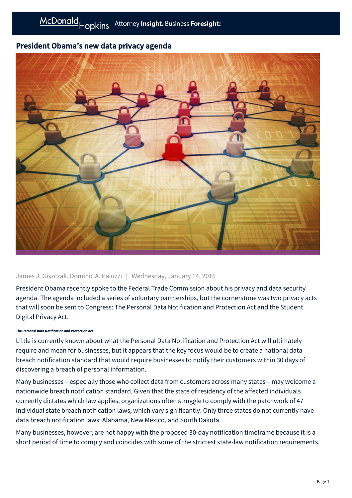# President Obama's new data privacy agenda



## James J. Giszczak, Dominic A. Paluzzi | Wednesday, January 14, 2015

President Obama recently spoke to the Federal Trade Commission about his privacy and data security agenda. The agenda included a series of voluntary partnerships, but the cornerstone was two privacy acts that will soon be sent to Congress: The Personal Data Notification and Protection Act and the Student Digital Privacy Act.

#### The Personal Data Notification and Protection Act

Little is currently known about what the Personal Data Notification and Protection Act will ultimately require and mean for businesses, but it appears that the key focus would be to create a national data breach notification standard that would require businesses to notify their customers within 30 days of discovering a breach of personal information.

Many businesses – especially those who collect data from customers across many states – may welcome a nationwide breach notification standard. Given that the state of residency of the affected individuals currently dictates which law applies, organizations often struggle to comply with the patchwork of 47 individual state breach notification laws, which vary significantly. Only three states do not currently have data breach notification laws: Alabama, New Mexico, and South Dakota.

Many businesses, however, are not happy with the proposed 30-day notification timeframe because it is a short period of time to comply and coincides with some of the strictest state-law notification requirements.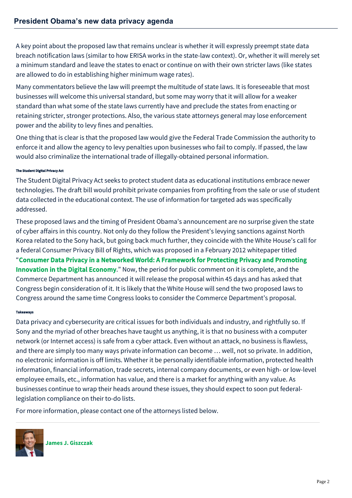A key point about the proposed law that remains unclear is whether it will expressly preempt state data breach notification laws (similar to how ERISA works in the state-law context). Or, whether it will merely set a minimum standard and leave the states to enact or continue on with their own stricter laws (like states are allowed to do in establishing higher minimum wage rates).

Many commentators believe the law will preempt the multitude of state laws. It is foreseeable that most businesses will welcome this universal standard, but some may worry that it will allow for a weaker standard than what some of the state laws currently have and preclude the states from enacting or retaining stricter, stronger protections. Also, the various state attorneys general may lose enforcement power and the ability to levy fines and penalties.

One thing that is clear is that the proposed law would give the Federal Trade Commission the authority to enforce it and allow the agency to levy penalties upon businesses who fail to comply. If passed, the law would also criminalize the international trade of illegally-obtained personal information.

### The Student Digital Privacy Act

The Student Digital Privacy Act seeks to protect student data as educational institutions embrace newer technologies. The draft bill would prohibit private companies from profiting from the sale or use of student data collected in the educational context. The use of information for targeted ads was specifically addressed.

These proposed laws and the timing of President Obama's announcement are no surprise given the state of cyber affairs in this country. Not only do they follow the President's levying sanctions against North Korea related to the Sony hack, but going back much further, they coincide with the White House's call for a federal Consumer Privacy Bill of Rights, which was proposed in a February 2012 whitepaper titled "[Consumer Data Privacy in a Networked World: A Framework for Protecting Privacy and Promoting](http://www.whitehouse.gov/sites/default/files/privacy-final.pdf) Innovation in the Digital Economy." Now, the period for public comment on it is complete, and the Commerce Department has announced it will release the proposal within 45 days and has asked that Congress begin consideration of it. It is likely that the White House will send the two proposed laws to Congress around the same time Congress looks to consider the Commerce Department's proposal.

#### Takeaways

Data privacy and cybersecurity are critical issues for both individuals and industry, and rightfully so. If Sony and the myriad of other breaches have taught us anything, it is that no business with a computer network (or Internet access) is safe from a cyber attack. Even without an attack, no business is flawless, and there are simply too many ways private information can become … well, not so private. In addition, no electronic information is off limits. Whether it be personally identifiable information, protected health information, financial information, trade secrets, internal company documents, or even high- or low-level employee emails, etc., information has value, and there is a market for anything with any value. As businesses continue to wrap their heads around these issues, they should expect to soon put federallegislation compliance on their to-do lists.

For more information, please contact one of the attorneys listed below.



**[James J. Giszczak](https://mcdonaldhopkins.com/Team/Attorney/j/James-Giszczak)**